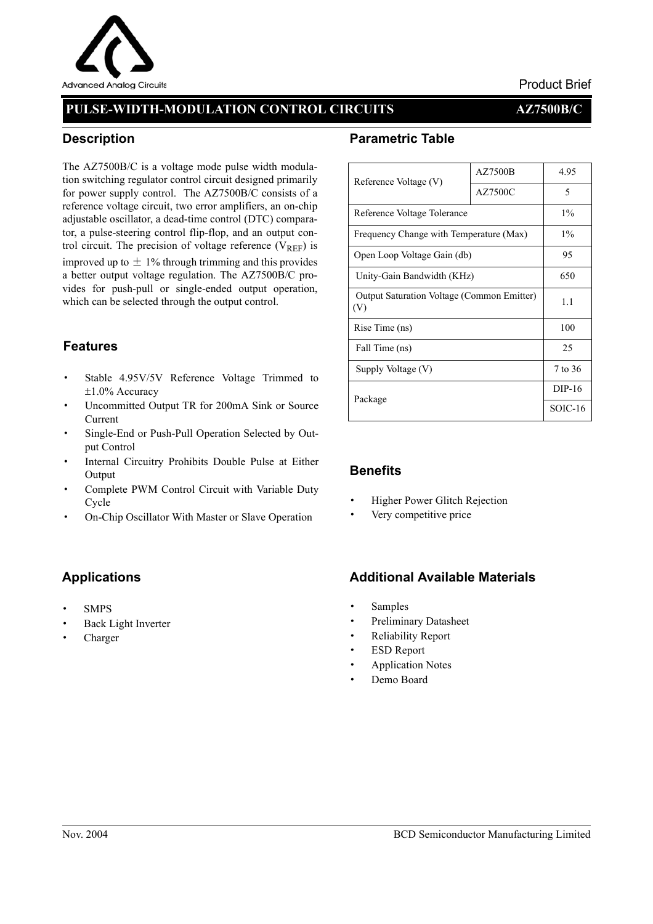

## Product Brief

# **PULSE-WIDTH-MODULATION CONTROL CIRCUITS AZ7500B/C**

## **Description**

The AZ7500B/C is a voltage mode pulse width modulation switching regulator control circuit designed primarily for power supply control. The AZ7500B/C consists of a reference voltage circuit, two error amplifiers, an on-chip adjustable oscillator, a dead-time control (DTC) comparator, a pulse-steering control flip-flop, and an output control circuit. The precision of voltage reference ( $V_{REF}$ ) is improved up to  $\pm$  1% through trimming and this provides a better output voltage regulation. The AZ7500B/C provides for push-pull or single-ended output operation, which can be selected through the output control.

## **Features**

- · Stable 4.95V/5V Reference Voltage Trimmed to ±1.0% Accuracy
- Uncommitted Output TR for 200mA Sink or Source Current
- · Single-End or Push-Pull Operation Selected by Output Control
- Internal Circuitry Prohibits Double Pulse at Either Output
- Complete PWM Control Circuit with Variable Duty Cycle
- On-Chip Oscillator With Master or Slave Operation

# **Applications**

- · SMPS
- Back Light Inverter
- · Charger

## **Parametric Table**

| Reference Voltage (V)                                    | <b>AZ7500B</b> | 4.95    |  |
|----------------------------------------------------------|----------------|---------|--|
|                                                          | AZ7500C        | 5       |  |
| Reference Voltage Tolerance                              | $1\%$          |         |  |
| Frequency Change with Temperature (Max)                  | $1\%$          |         |  |
| Open Loop Voltage Gain (db)                              | 95             |         |  |
| Unity-Gain Bandwidth (KHz)                               | 650            |         |  |
| <b>Output Saturation Voltage (Common Emitter)</b><br>(V) | 1.1            |         |  |
| Rise Time (ns)                                           | 100            |         |  |
| Fall Time (ns)                                           | 25             |         |  |
| Supply Voltage (V)                                       | 7 to 36        |         |  |
| Package                                                  | DIP-16         |         |  |
|                                                          |                | SOIC-16 |  |

### **Benefits**

- **Higher Power Glitch Rejection**
- Very competitive price

### **Additional Available Materials**

- **Samples**
- Preliminary Datasheet
- Reliability Report
- **ESD Report**
- **Application Notes**
- Demo Board